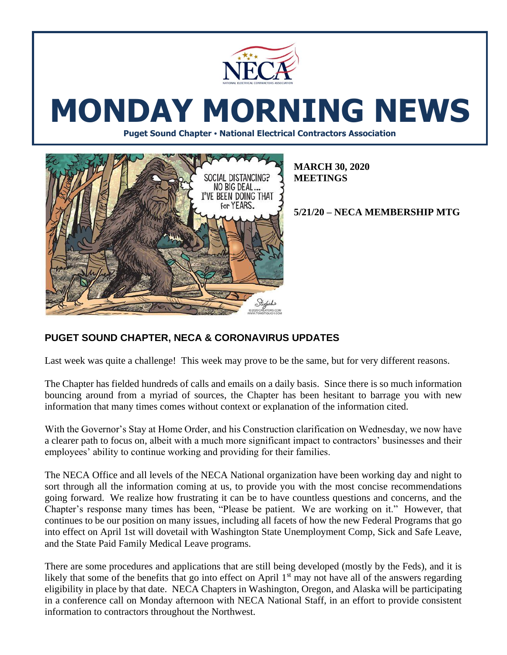

# **MONDAY MORNING NEWS**

**Puget Sound Chapter • National Electrical Contractors Association**



**MARCH 30, 2020 MEETINGS**

**5/21/20 – NECA MEMBERSHIP MTG**

## **PUGET SOUND CHAPTER, NECA & CORONAVIRUS UPDATES**

Last week was quite a challenge! This week may prove to be the same, but for very different reasons.

The Chapter has fielded hundreds of calls and emails on a daily basis. Since there is so much information bouncing around from a myriad of sources, the Chapter has been hesitant to barrage you with new information that many times comes without context or explanation of the information cited.

With the Governor's Stay at Home Order, and his Construction clarification on Wednesday, we now have a clearer path to focus on, albeit with a much more significant impact to contractors' businesses and their employees' ability to continue working and providing for their families.

The NECA Office and all levels of the NECA National organization have been working day and night to sort through all the information coming at us, to provide you with the most concise recommendations going forward. We realize how frustrating it can be to have countless questions and concerns, and the Chapter's response many times has been, "Please be patient. We are working on it." However, that continues to be our position on many issues, including all facets of how the new Federal Programs that go into effect on April 1st will dovetail with Washington State Unemployment Comp, Sick and Safe Leave, and the State Paid Family Medical Leave programs.

There are some procedures and applications that are still being developed (mostly by the Feds), and it is likely that some of the benefits that go into effect on April  $1<sup>st</sup>$  may not have all of the answers regarding eligibility in place by that date. NECA Chapters in Washington, Oregon, and Alaska will be participating in a conference call on Monday afternoon with NECA National Staff, in an effort to provide consistent information to contractors throughout the Northwest.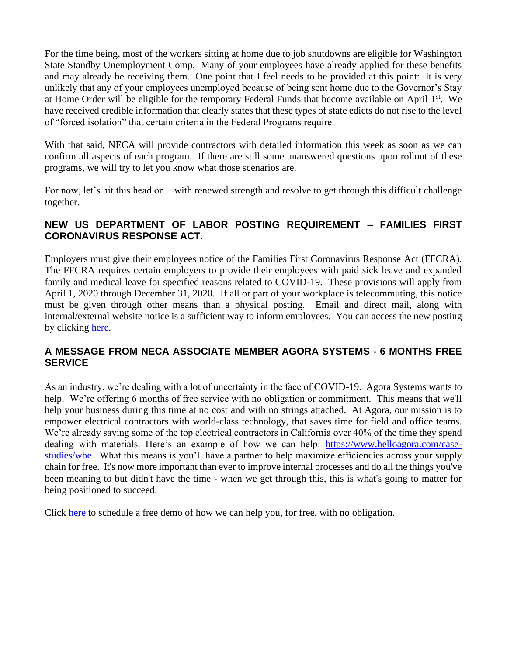For the time being, most of the workers sitting at home due to job shutdowns are eligible for Washington State Standby Unemployment Comp. Many of your employees have already applied for these benefits and may already be receiving them. One point that I feel needs to be provided at this point: It is very unlikely that any of your employees unemployed because of being sent home due to the Governor's Stay at Home Order will be eligible for the temporary Federal Funds that become available on April 1<sup>st</sup>. We have received credible information that clearly states that these types of state edicts do not rise to the level of "forced isolation" that certain criteria in the Federal Programs require.

With that said, NECA will provide contractors with detailed information this week as soon as we can confirm all aspects of each program. If there are still some unanswered questions upon rollout of these programs, we will try to let you know what those scenarios are.

For now, let's hit this head on – with renewed strength and resolve to get through this difficult challenge together.

#### **NEW US DEPARTMENT OF LABOR POSTING REQUIREMENT – FAMILIES FIRST CORONAVIRUS RESPONSE ACT.**

Employers must give their employees notice of the Families First Coronavirus Response Act (FFCRA). The FFCRA requires certain employers to provide their employees with paid sick leave and expanded family and medical leave for specified reasons related to COVID-19. These provisions will apply from April 1, 2020 through December 31, 2020. If all or part of your workplace is telecommuting, this notice must be given through other means than a physical posting. Email and direct mail, along with internal/external website notice is a sufficient way to inform employees. You can access the new posting by clicking [here.](https://www.dol.gov/sites/dolgov/files/WHD/posters/FFCRA_Poster_WH1422_Federal.pdf)

### **A MESSAGE FROM NECA ASSOCIATE MEMBER AGORA SYSTEMS - 6 MONTHS FREE SERVICE**

As an industry, we're dealing with a lot of uncertainty in the face of COVID-19. Agora Systems wants to help. We're offering 6 months of free service with no obligation or commitment. This means that we'll help your business during this time at no cost and with no strings attached. At Agora, our mission is to empower electrical contractors with world-class technology, that saves time for field and office teams. We're already saving some of the top electrical contractors in California over 40% of the time they spend dealing with materials. Here's an example of how we can help: [https://www.helloagora.com/case](https://www.helloagora.com/case-studies/wbe)[studies/wbe.](https://www.helloagora.com/case-studies/wbe) What this means is you'll have a partner to help maximize efficiencies across your supply chain for free. It's now more important than ever to improve internal processes and do all the things you've been meaning to but didn't have the time - when we get through this, this is what's going to matter for being positioned to succeed.

Click [here](https://calendly.com/matt-hernandez/agorademo?month=2020-03) to schedule a free demo of how we can help you, for free, with no obligation.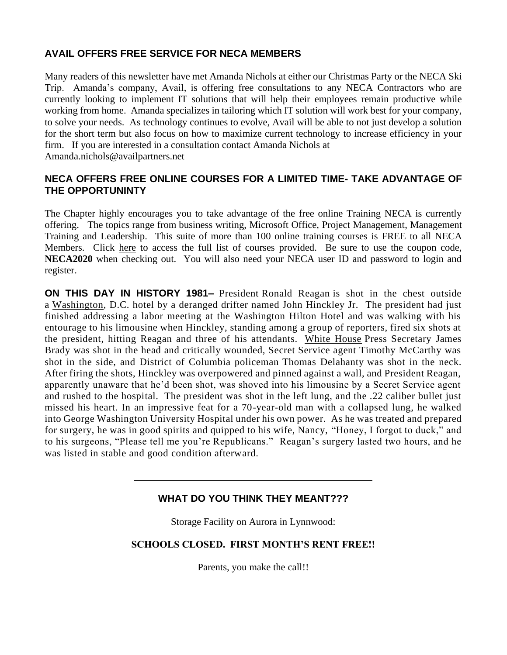### **AVAIL OFFERS FREE SERVICE FOR NECA MEMBERS**

Many readers of this newsletter have met Amanda Nichols at either our Christmas Party or the NECA Ski Trip. Amanda's company, Avail, is offering free consultations to any NECA Contractors who are currently looking to implement IT solutions that will help their employees remain productive while working from home. Amanda specializes in tailoring which IT solution will work best for your company, to solve your needs. As technology continues to evolve, Avail will be able to not just develop a solution for the short term but also focus on how to maximize current technology to increase efficiency in your firm. If you are interested in a consultation contact Amanda Nichols at Amanda.nichols@availpartners.net

#### **NECA OFFERS FREE ONLINE COURSES FOR A LIMITED TIME- TAKE ADVANTAGE OF THE OPPORTUNINTY**

The Chapter highly encourages you to take advantage of the free online Training NECA is currently offering. The topics range from business writing, Microsoft Office, Project Management, Management Training and Leadership. This suite of more than 100 online training courses is FREE to all NECA Members. Click [here](https://www.necanet.org/about-us/news/news-release-archive/news/2020/03/18/neca-education-take-advantage-of-free-webinars-online-training) to access the full list of courses provided. Be sure to use the coupon code, **NECA2020** when checking out. You will also need your NECA user ID and password to login and register.

**ON THIS DAY IN HISTORY 1981–** President [Ronald Reagan](https://www.history.com/topics/us-presidents/ronald-reagan) is shot in the chest outside a [Washington,](https://www.history.com/topics/us-states/washington) D.C. hotel by a deranged drifter named John Hinckley Jr. The president had just finished addressing a labor meeting at the Washington Hilton Hotel and was walking with his entourage to his limousine when Hinckley, standing among a group of reporters, fired six shots at the president, hitting Reagan and three of his attendants. [White House](https://www.history.com/topics/white-house) Press Secretary James Brady was shot in the head and critically wounded, Secret Service agent Timothy McCarthy was shot in the side, and District of Columbia policeman Thomas Delahanty was shot in the neck. After firing the shots, Hinckley was overpowered and pinned against a wall, and President Reagan, apparently unaware that he'd been shot, was shoved into his limousine by a Secret Service agent and rushed to the hospital. The president was shot in the left lung, and the .22 caliber bullet just missed his heart. In an impressive feat for a 70-year-old man with a collapsed lung, he walked into George Washington University Hospital under his own power. As he was treated and prepared for surgery, he was in good spirits and quipped to his wife, Nancy, "Honey, I forgot to duck," and to his surgeons, "Please tell me you're Republicans." Reagan's surgery lasted two hours, and he was listed in stable and good condition afterward.

#### **WHAT DO YOU THINK THEY MEANT???**

Storage Facility on Aurora in Lynnwood:

#### **SCHOOLS CLOSED. FIRST MONTH'S RENT FREE!!**

Parents, you make the call!!